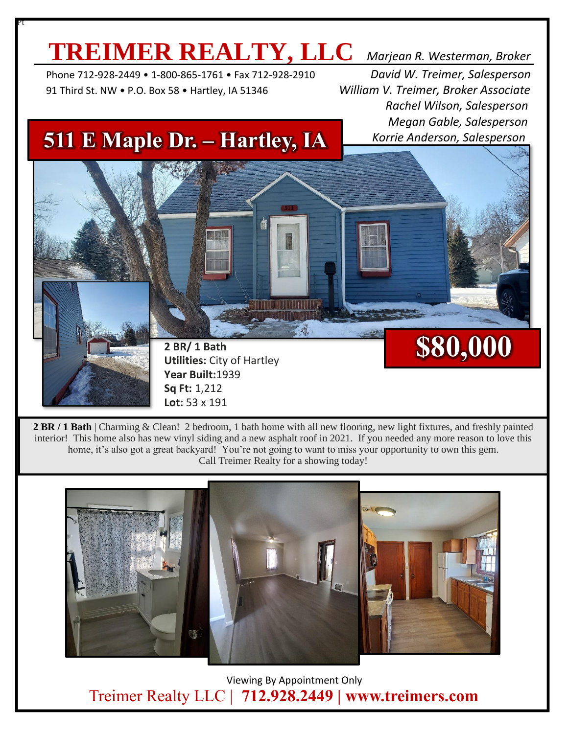## **TREIMER REALTY, LLC** *Marjean R. Westerman, Broker*

 Phone 712-928-2449 • 1-800-865-1761 • Fax 712-928-2910 *David W. Treimer, Salesperson* 91 Third St. NW • P.O. Box 58 • Hartley, IA 51346 *William V. Treimer, Broker Associate*

Pt

 *Rachel Wilson, Salesperson Megan Gable, Salesperson Korrie Anderson, Salesperson*

**\$80,000**

## **511 E Maple Dr. – Hartley, IA**

**2 BR/ 1 Bath**

**Year Built:**1939 **Sq Ft:** 1,212 **Lot:** 53 x 191

**Utilities:** City of Hartley

**2 BR / 1 Bath** | Charming & Clean! 2 bedroom, 1 bath home with all new flooring, new light fixtures, and freshly painted interior! This home also has new vinyl siding and a new asphalt roof in 2021. If you needed any more reason to love this home, it's also got a great backyard! You're not going to want to miss your opportunity to own this gem. Call Treimer Realty for a showing today!



 Viewing By Appointment Only Treimer Realty LLC | **712.928.2449 | www.treimers.com**